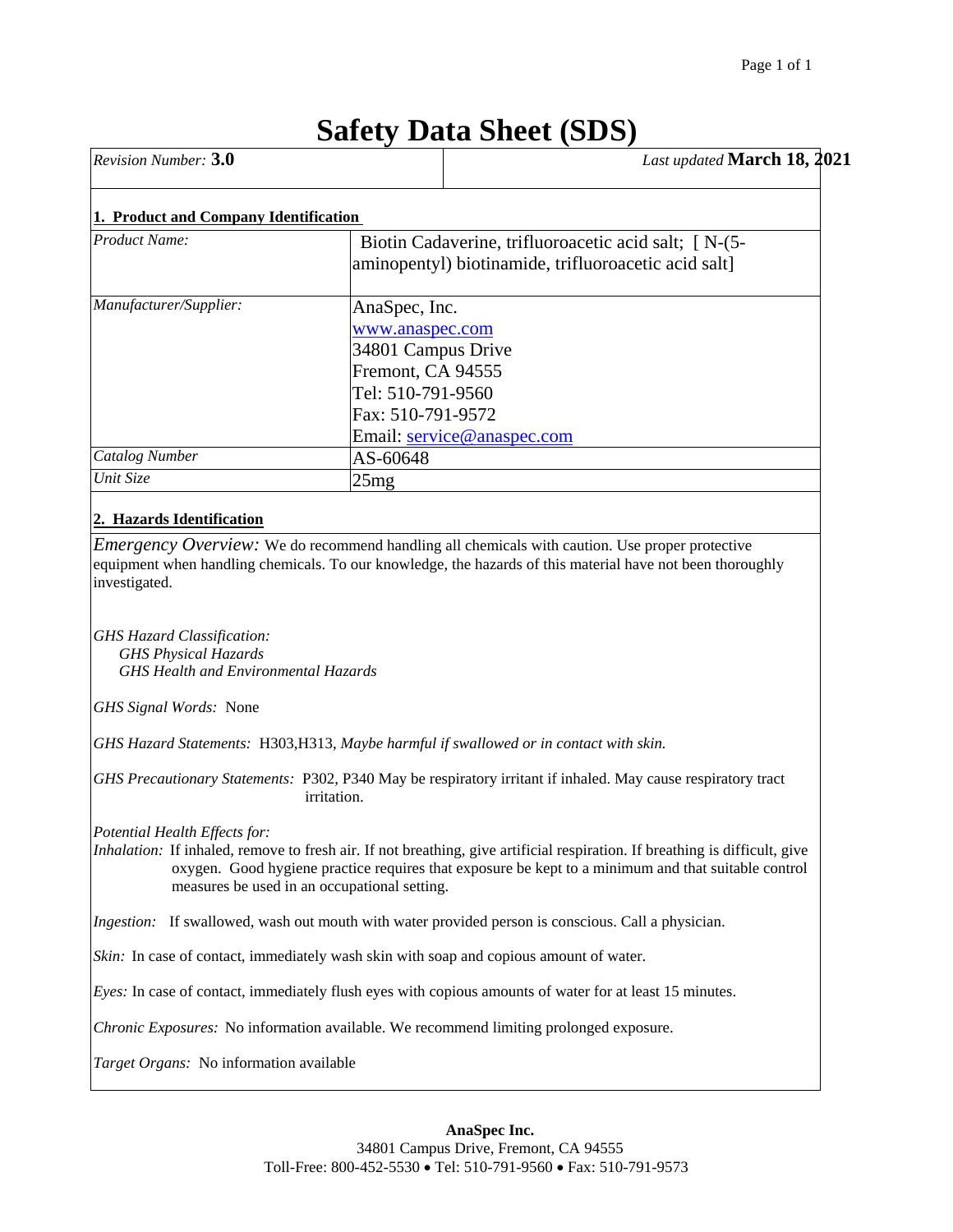# **Safety Data Sheet (SDS)**

| <b>Revision Number: 3.0</b>                                                                                     |                                                                                                                                                                                                                                                                                    | Last updated March 18, 2021 |
|-----------------------------------------------------------------------------------------------------------------|------------------------------------------------------------------------------------------------------------------------------------------------------------------------------------------------------------------------------------------------------------------------------------|-----------------------------|
| 1. Product and Company Identification                                                                           |                                                                                                                                                                                                                                                                                    |                             |
| <b>Product Name:</b>                                                                                            | Biotin Cadaverine, trifluoroacetic acid salt; [ N-(5-<br>aminopentyl) biotinamide, trifluoroacetic acid salt]                                                                                                                                                                      |                             |
| Manufacturer/Supplier:                                                                                          | AnaSpec, Inc.<br>www.anaspec.com<br>34801 Campus Drive<br>Fremont, CA 94555<br>Tel: 510-791-9560<br>Fax: 510-791-9572                                                                                                                                                              |                             |
|                                                                                                                 | Email: service@anaspec.com                                                                                                                                                                                                                                                         |                             |
| Catalog Number<br>Unit Size                                                                                     | AS-60648<br>25mg                                                                                                                                                                                                                                                                   |                             |
| investigated.                                                                                                   |                                                                                                                                                                                                                                                                                    |                             |
| <b>GHS Hazard Classification:</b><br><b>GHS Physical Hazards</b><br><b>GHS Health and Environmental Hazards</b> |                                                                                                                                                                                                                                                                                    |                             |
| GHS Signal Words: None                                                                                          |                                                                                                                                                                                                                                                                                    |                             |
|                                                                                                                 | GHS Hazard Statements: H303, H313, Maybe harmful if swallowed or in contact with skin.                                                                                                                                                                                             |                             |
|                                                                                                                 | GHS Precautionary Statements: P302, P340 May be respiratory irritant if inhaled. May cause respiratory tract<br>irritation.                                                                                                                                                        |                             |
| Potential Health Effects for:                                                                                   | Inhalation: If inhaled, remove to fresh air. If not breathing, give artificial respiration. If breathing is difficult, give<br>oxygen. Good hygiene practice requires that exposure be kept to a minimum and that suitable control<br>measures be used in an occupational setting. |                             |
|                                                                                                                 | <i>Ingestion:</i> If swallowed, wash out mouth with water provided person is conscious. Call a physician.                                                                                                                                                                          |                             |

*Skin:* In case of contact, immediately wash skin with soap and copious amount of water.

*Eyes:* In case of contact, immediately flush eyes with copious amounts of water for at least 15 minutes.

*Chronic Exposures:* No information available. We recommend limiting prolonged exposure.

*Target Organs:* No information available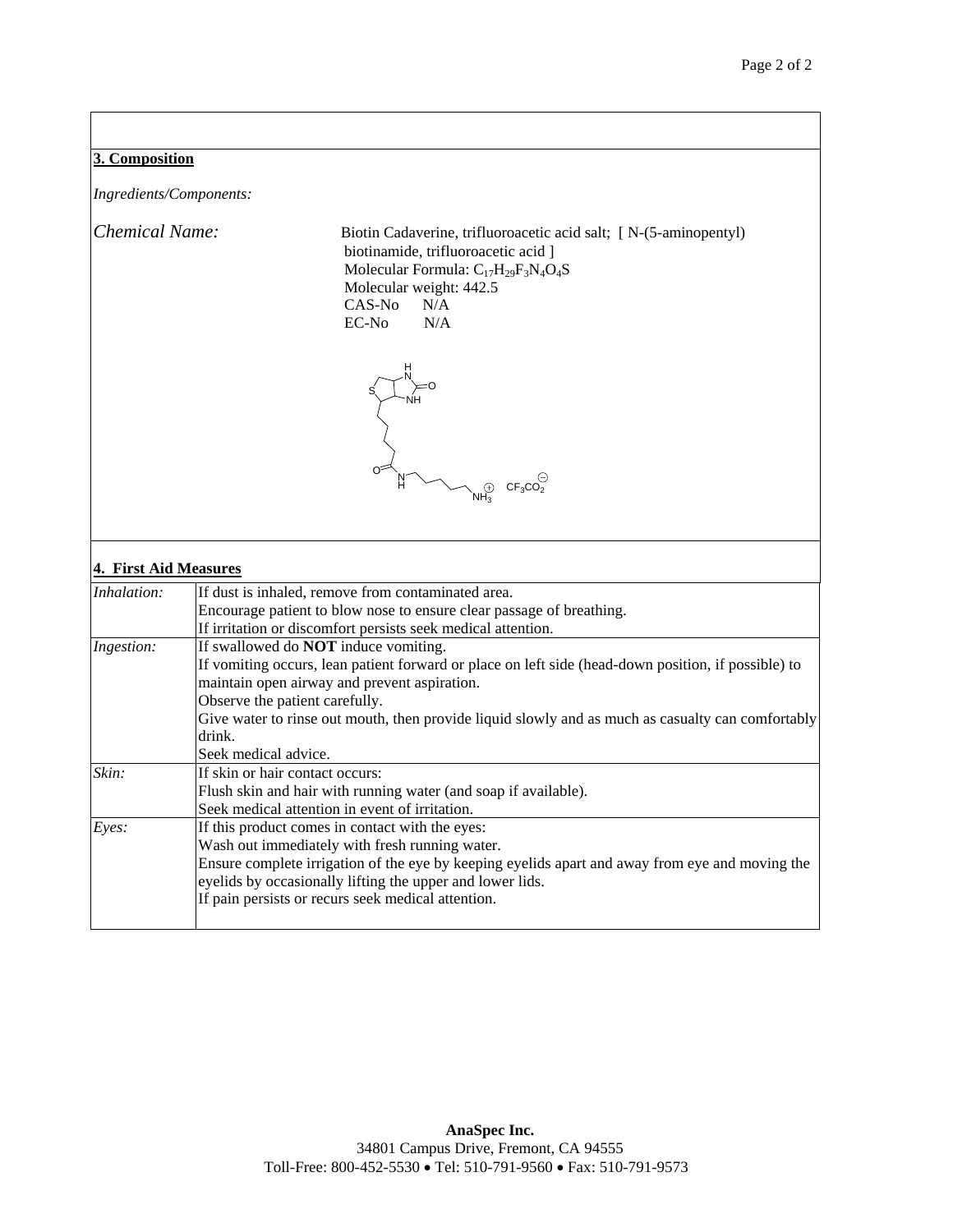# **3. Composition**

*Ingredients/Components:* 

*Chemical Name:* Biotin Cadaverine, trifluoroacetic acid salt; [ N-(5-aminopentyl) biotinamide, trifluoroacetic acid ] Molecular Formula:  $C_{17}H_{29}F_3N_4O_4S$  Molecular weight: 442.5 CAS-No N/A<br>EC-No N/A  $EC-No$ 



# **4. First Aid Measures**

| Inhalation: | If dust is inhaled, remove from contaminated area.                                                  |
|-------------|-----------------------------------------------------------------------------------------------------|
|             | Encourage patient to blow nose to ensure clear passage of breathing.                                |
|             | If irritation or discomfort persists seek medical attention.                                        |
| Ingestion:  | If swallowed do <b>NOT</b> induce vomiting.                                                         |
|             | If vomiting occurs, lean patient forward or place on left side (head-down position, if possible) to |
|             | maintain open airway and prevent aspiration.                                                        |
|             | Observe the patient carefully.                                                                      |
|             | Give water to rinse out mouth, then provide liquid slowly and as much as casualty can comfortably   |
|             | drink.                                                                                              |
|             | Seek medical advice.                                                                                |
| Skin:       | If skin or hair contact occurs:                                                                     |
|             | Flush skin and hair with running water (and soap if available).                                     |
|             | Seek medical attention in event of irritation.                                                      |
| Eyes:       | If this product comes in contact with the eyes:                                                     |
|             | Wash out immediately with fresh running water.                                                      |
|             | Ensure complete irrigation of the eye by keeping eyelids apart and away from eye and moving the     |
|             | eyelids by occasionally lifting the upper and lower lids.                                           |
|             | If pain persists or recurs seek medical attention.                                                  |
|             |                                                                                                     |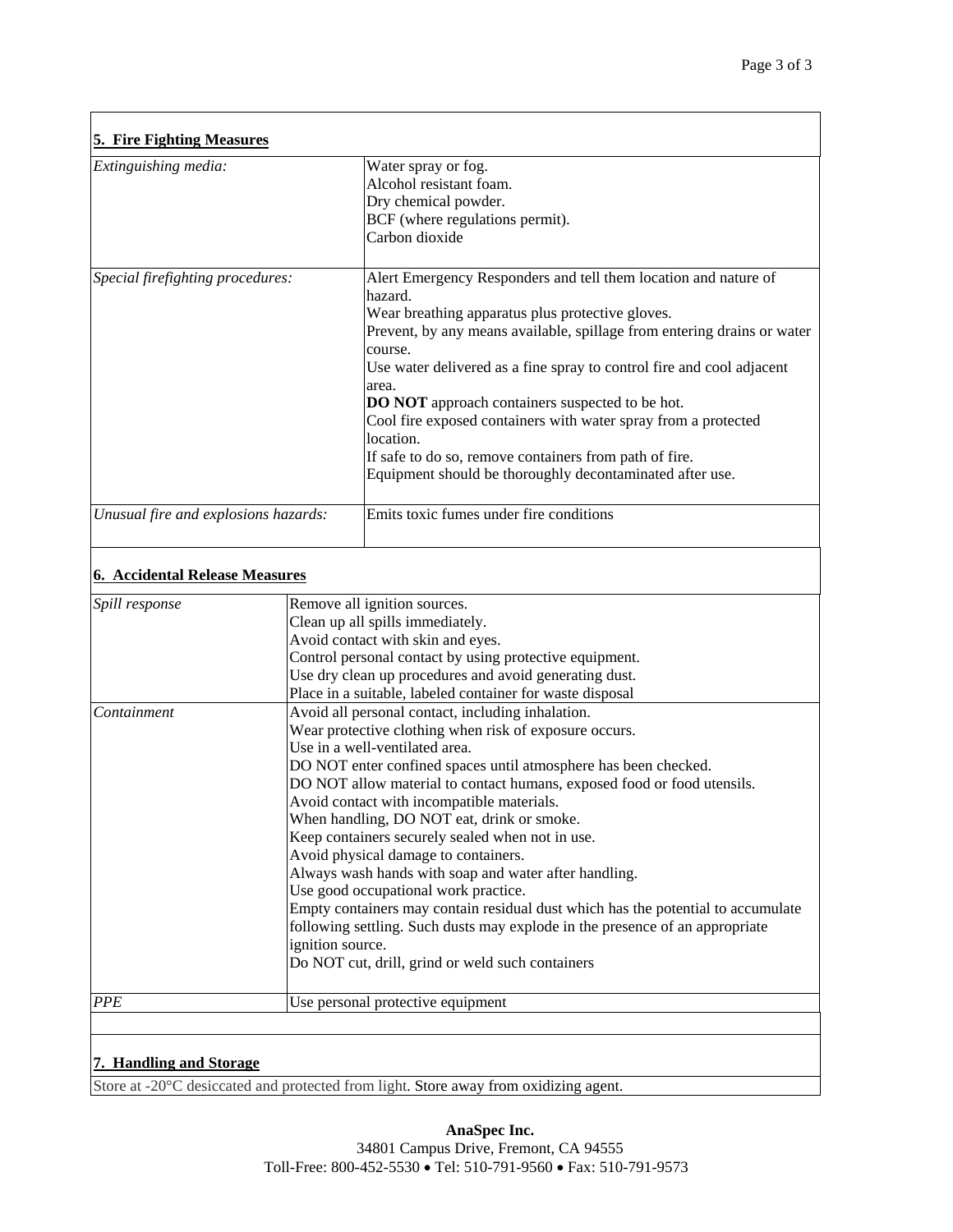| Extinguishing media:                 | Water spray or fog.                                                            |
|--------------------------------------|--------------------------------------------------------------------------------|
|                                      | Alcohol resistant foam.                                                        |
|                                      |                                                                                |
|                                      | Dry chemical powder.                                                           |
|                                      | BCF (where regulations permit).                                                |
|                                      | Carbon dioxide                                                                 |
|                                      |                                                                                |
| Special firefighting procedures:     | Alert Emergency Responders and tell them location and nature of<br>hazard.     |
|                                      | Wear breathing apparatus plus protective gloves.                               |
|                                      | Prevent, by any means available, spillage from entering drains or water        |
|                                      | course.                                                                        |
|                                      | Use water delivered as a fine spray to control fire and cool adjacent<br>area. |
|                                      | <b>DO NOT</b> approach containers suspected to be hot.                         |
|                                      | Cool fire exposed containers with water spray from a protected                 |
|                                      | location.                                                                      |
|                                      | If safe to do so, remove containers from path of fire.                         |
|                                      | Equipment should be thoroughly decontaminated after use.                       |
|                                      |                                                                                |
| Unusual fire and explosions hazards: | Emits toxic fumes under fire conditions                                        |

# **6. Accidental Release Measures**

| <i>Spill response</i> | Remove all ignition sources.                                                     |  |  |
|-----------------------|----------------------------------------------------------------------------------|--|--|
|                       | Clean up all spills immediately.                                                 |  |  |
|                       | Avoid contact with skin and eyes.                                                |  |  |
|                       | Control personal contact by using protective equipment.                          |  |  |
|                       | Use dry clean up procedures and avoid generating dust.                           |  |  |
|                       | Place in a suitable, labeled container for waste disposal                        |  |  |
| Containment           | Avoid all personal contact, including inhalation.                                |  |  |
|                       | Wear protective clothing when risk of exposure occurs.                           |  |  |
|                       | Use in a well-ventilated area.                                                   |  |  |
|                       | DO NOT enter confined spaces until atmosphere has been checked.                  |  |  |
|                       | DO NOT allow material to contact humans, exposed food or food utensils.          |  |  |
|                       | Avoid contact with incompatible materials.                                       |  |  |
|                       | When handling, DO NOT eat, drink or smoke.                                       |  |  |
|                       | Keep containers securely sealed when not in use.                                 |  |  |
|                       | Avoid physical damage to containers.                                             |  |  |
|                       | Always wash hands with soap and water after handling.                            |  |  |
|                       | Use good occupational work practice.                                             |  |  |
|                       | Empty containers may contain residual dust which has the potential to accumulate |  |  |
|                       | following settling. Such dusts may explode in the presence of an appropriate     |  |  |
|                       | ignition source.                                                                 |  |  |
|                       | Do NOT cut, drill, grind or weld such containers                                 |  |  |
| <b>PPE</b>            | Use personal protective equipment                                                |  |  |

# **7. Handling and Storage**

Store at -20°C desiccated and protected from light. Store away from oxidizing agent.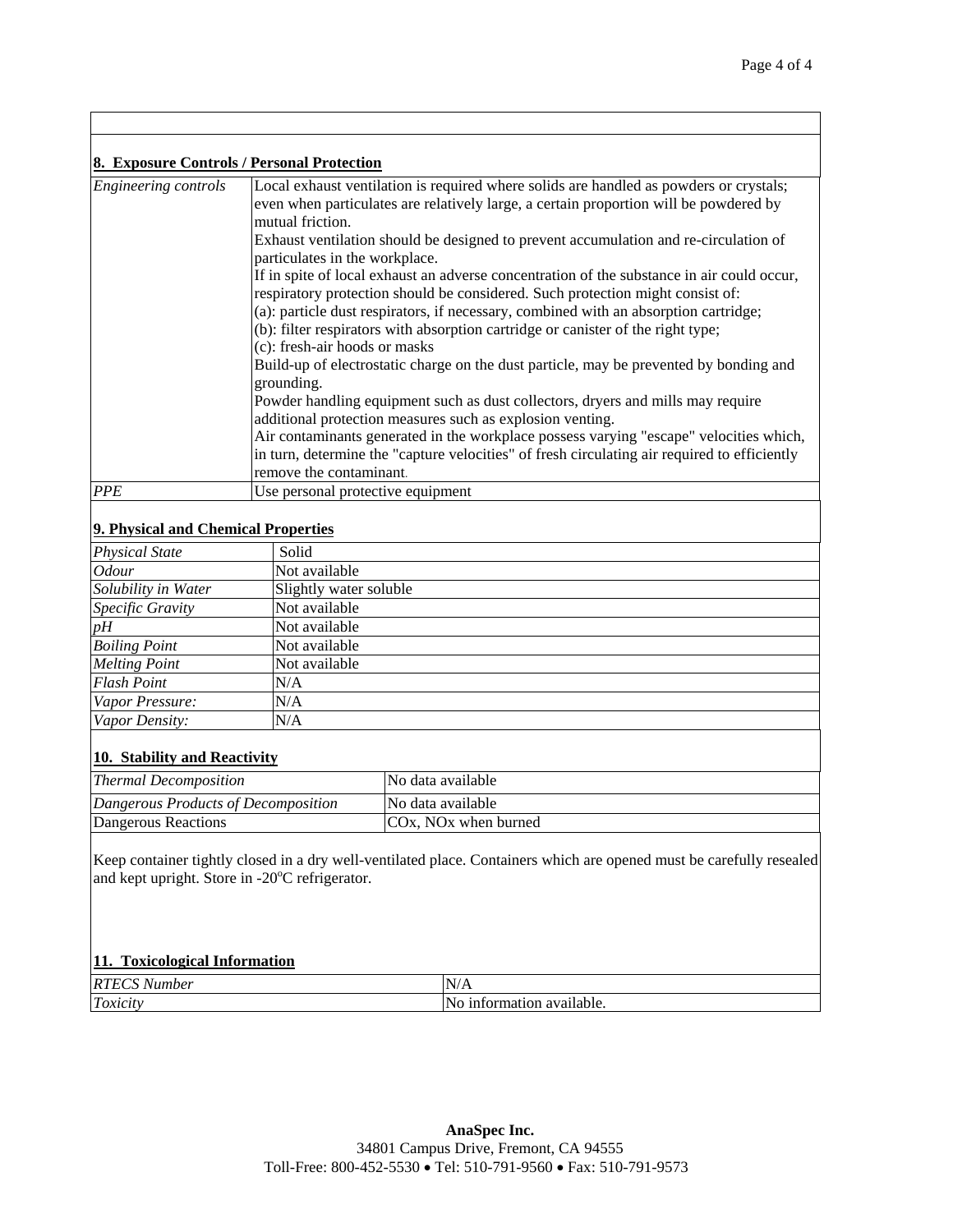| 8. Exposure Controls / Personal Protection |                                                                                        |  |
|--------------------------------------------|----------------------------------------------------------------------------------------|--|
| Engineering controls                       | Local exhaust ventilation is required where solids are handled as powders or crystals; |  |
|                                            | even when particulates are relatively large, a certain proportion will be powdered by  |  |

|            | even when particulates are relatively large, a certain proportion will be powdered by<br>mutual friction.<br>Exhaust ventilation should be designed to prevent accumulation and re-circulation of<br>particulates in the workplace.<br>If in spite of local exhaust an adverse concentration of the substance in air could occur,<br>respiratory protection should be considered. Such protection might consist of:<br>(a): particle dust respirators, if necessary, combined with an absorption cartridge;<br>(b): filter respirators with absorption cartridge or canister of the right type;<br>(c): fresh-air hoods or masks |
|------------|----------------------------------------------------------------------------------------------------------------------------------------------------------------------------------------------------------------------------------------------------------------------------------------------------------------------------------------------------------------------------------------------------------------------------------------------------------------------------------------------------------------------------------------------------------------------------------------------------------------------------------|
|            | Build-up of electrostatic charge on the dust particle, may be prevented by bonding and<br>grounding.                                                                                                                                                                                                                                                                                                                                                                                                                                                                                                                             |
|            | Powder handling equipment such as dust collectors, dryers and mills may require<br>additional protection measures such as explosion venting.                                                                                                                                                                                                                                                                                                                                                                                                                                                                                     |
|            | Air contaminants generated in the workplace possess varying "escape" velocities which,<br>in turn, determine the "capture velocities" of fresh circulating air required to efficiently<br>remove the contaminant.                                                                                                                                                                                                                                                                                                                                                                                                                |
| <b>PPE</b> | Use personal protective equipment                                                                                                                                                                                                                                                                                                                                                                                                                                                                                                                                                                                                |

## **9. Physical and Chemical Properties**

| <b>Physical State</b> | Solid                  |
|-----------------------|------------------------|
| <i>Odour</i>          | Not available          |
| Solubility in Water   | Slightly water soluble |
| Specific Gravity      | Not available          |
| pH                    | Not available          |
| <b>Boiling Point</b>  | Not available          |
| <b>Melting Point</b>  | Not available          |
| <b>Flash Point</b>    | N/A                    |
| Vapor Pressure:       | N/A                    |
| Vapor Density:        | N/A                    |

#### **10. Stability and Reactivity**

| <b>Thermal Decomposition</b>        | No data available                |
|-------------------------------------|----------------------------------|
| Dangerous Products of Decomposition | No data available                |
| Dangerous Reactions                 | COx, NO <sub>x</sub> when burned |

Keep container tightly closed in a dry well-ventilated place. Containers which are opened must be carefully resealed and kept upright. Store in -20°C refrigerator.

#### **11. Toxicological Information**

| RT<br>mber<br>111<br>, <b>14</b><br>. | 'N<br>17 T T                                 |
|---------------------------------------|----------------------------------------------|
| T<br>$. \alpha vio$<br>11 олісн       | 'N<br>.<br>'ailable.<br>01101<br>،tıor<br>пя |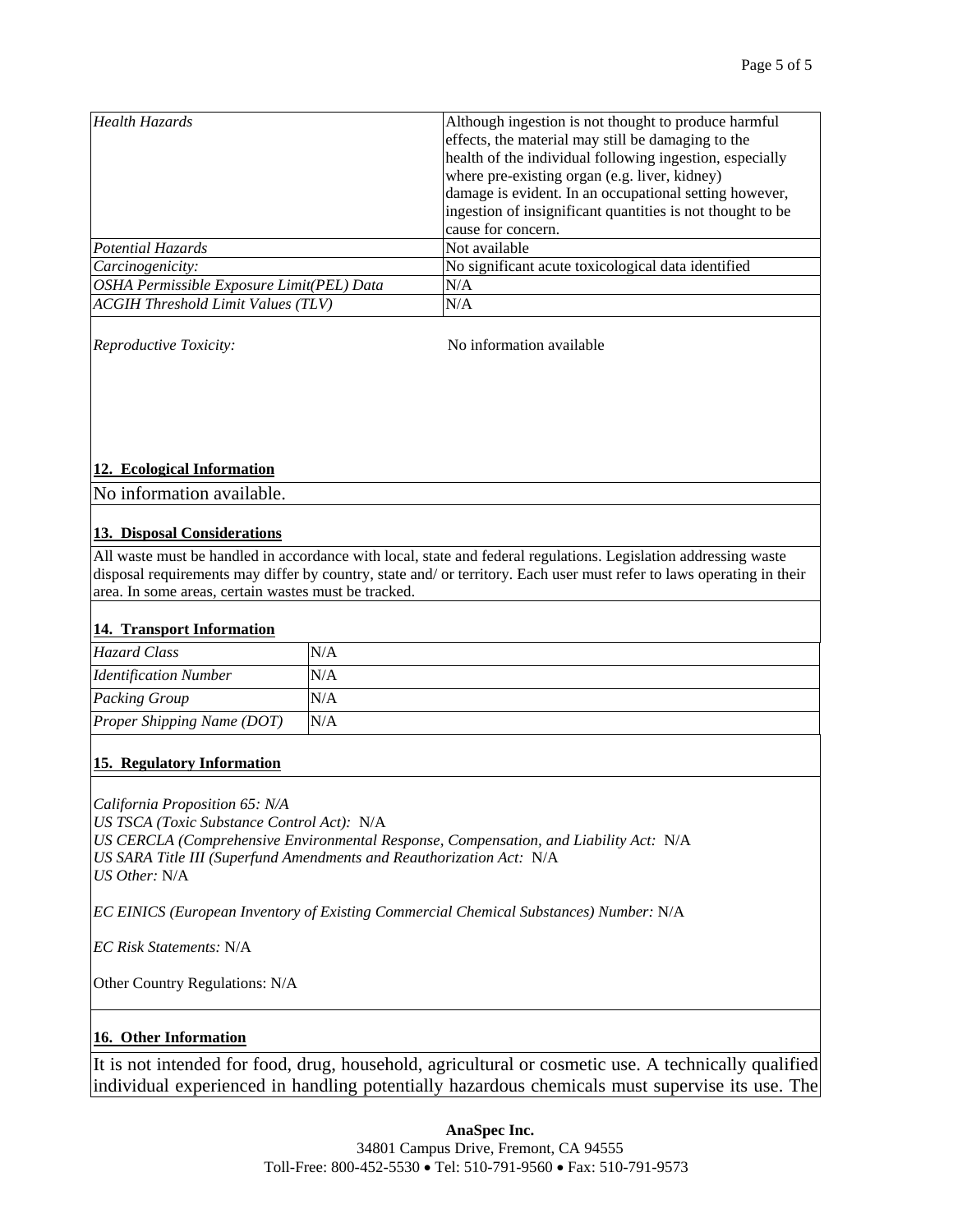| Health Hazards                            | Although ingestion is not thought to produce harmful<br>effects, the material may still be damaging to the<br>health of the individual following ingestion, especially<br>where pre-existing organ (e.g. liver, kidney)<br>damage is evident. In an occupational setting however,<br>ingestion of insignificant quantities is not thought to be<br>cause for concern. |
|-------------------------------------------|-----------------------------------------------------------------------------------------------------------------------------------------------------------------------------------------------------------------------------------------------------------------------------------------------------------------------------------------------------------------------|
| Potential Hazards                         | Not available                                                                                                                                                                                                                                                                                                                                                         |
| Carcinogenicity:                          | No significant acute toxicological data identified                                                                                                                                                                                                                                                                                                                    |
| OSHA Permissible Exposure Limit(PEL) Data | N/A                                                                                                                                                                                                                                                                                                                                                                   |
| <b>ACGIH Threshold Limit Values (TLV)</b> | N/A                                                                                                                                                                                                                                                                                                                                                                   |

*Reproductive Toxicity:*  $\blacksquare$  No information available

#### **12. Ecological Information**

No information available.

#### **13. Disposal Considerations**

All waste must be handled in accordance with local, state and federal regulations. Legislation addressing waste disposal requirements may differ by country, state and/ or territory. Each user must refer to laws operating in their area. In some areas, certain wastes must be tracked.

## **14. Transport Information**

| Hazard Class                 | N/A |
|------------------------------|-----|
| <b>Identification Number</b> | N/A |
| <b>Packing Group</b>         | N/A |
| Proper Shipping Name (DOT)   | N/A |

#### **15. Regulatory Information**

*California Proposition 65: N/A US TSCA (Toxic Substance Control Act):* N/A *US CERCLA (Comprehensive Environmental Response, Compensation, and Liability Act:* N/A *US SARA Title III (Superfund Amendments and Reauthorization Act:* N/A *US Other:* N/A

*EC EINICS (European Inventory of Existing Commercial Chemical Substances) Number: N/A* 

*EC Risk Statements:* N/A

Other Country Regulations: N/A

## **16. Other Information**

It is not intended for food, drug, household, agricultural or cosmetic use. A technically qualified individual experienced in handling potentially hazardous chemicals must supervise its use. The

#### **AnaSpec Inc.**

34801 Campus Drive, Fremont, CA 94555 Toll-Free: 800-452-5530 • Tel: 510-791-9560 • Fax: 510-791-9573